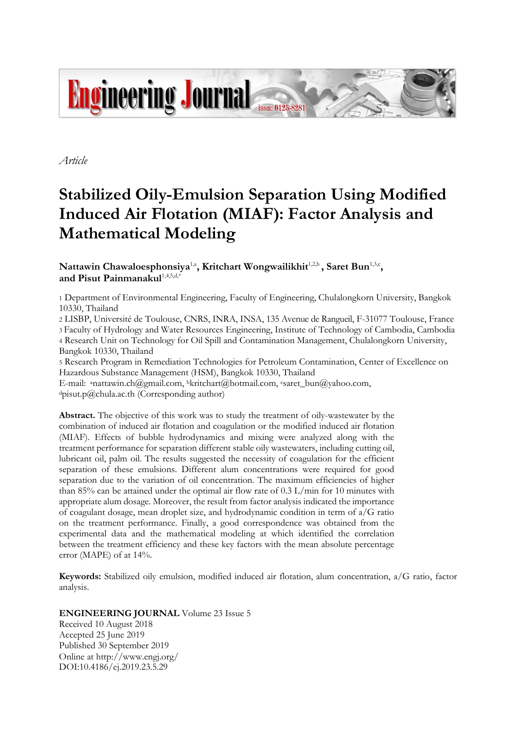

*Article*

# **Stabilized Oily-Emulsion Separation Using Modified Induced Air Flotation (MIAF): Factor Analysis and Mathematical Modeling**

 $\mathbf{N}$ attawin Chawaloesphonsiya<sup>1,a</sup>, Kritchart Wongwailikhit<sup>1,2,b</sup> , Saret Bun<sup>1,3,c</sup> , **and Pisut Painmanakul**1,4,5,d,\*

1 Department of Environmental Engineering, Faculty of Engineering, Chulalongkorn University, Bangkok 10330, Thailand

 LISBP, Université de Toulouse, CNRS, INRA, INSA, 135 Avenue de Rangueil, F-31077 Toulouse, France Faculty of Hydrology and Water Resources Engineering, Institute of Technology of Cambodia, Cambodia Research Unit on Technology for Oil Spill and Contamination Management, Chulalongkorn University, Bangkok 10330, Thailand

5 Research Program in Remediation Technologies for Petroleum Contamination, Center of Excellence on Hazardous Substance Management (HSM), Bangkok 10330, Thailand

E-mail: <sup>a</sup>nattawin.ch@gmail.com, bkritchart@hotmail.com, csaret\_bun@yahoo.com,

 $\phi$ isut.p@chula.ac.th (Corresponding author)

**Abstract.** The objective of this work was to study the treatment of oily-wastewater by the combination of induced air flotation and coagulation or the modified induced air flotation (MIAF). Effects of bubble hydrodynamics and mixing were analyzed along with the treatment performance for separation different stable oily wastewaters, including cutting oil, lubricant oil, palm oil. The results suggested the necessity of coagulation for the efficient separation of these emulsions. Different alum concentrations were required for good separation due to the variation of oil concentration. The maximum efficiencies of higher than 85% can be attained under the optimal air flow rate of 0.3 L/min for 10 minutes with appropriate alum dosage. Moreover, the result from factor analysis indicated the importance of coagulant dosage, mean droplet size, and hydrodynamic condition in term of  $a/G$  ratio on the treatment performance. Finally, a good correspondence was obtained from the experimental data and the mathematical modeling at which identified the correlation between the treatment efficiency and these key factors with the mean absolute percentage error (MAPE) of at 14%.

**Keywords:** Stabilized oily emulsion, modified induced air flotation, alum concentration, a/G ratio, factor analysis.

# **ENGINEERING JOURNAL** Volume 23 Issue 5

Received 10 August 2018 Accepted 25 June 2019 Published 30 September 2019 Online at http://www.engj.org/ DOI:10.4186/ej.2019.23.5.29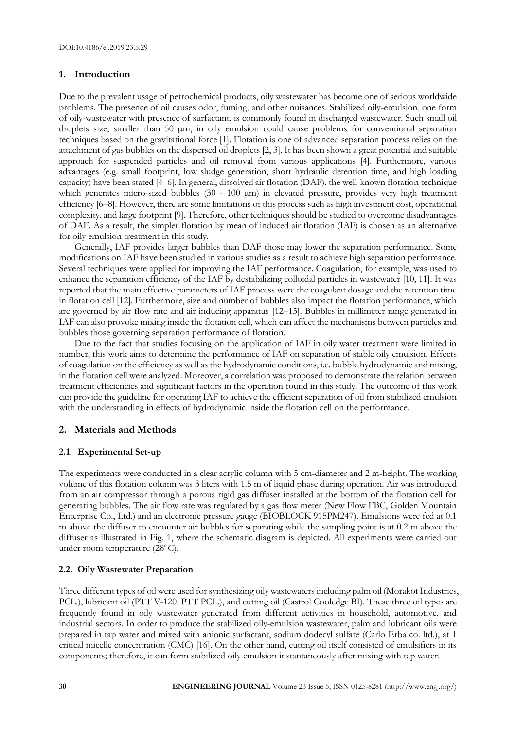# **1. Introduction**

Due to the prevalent usage of petrochemical products, oily wastewater has become one of serious worldwide problems. The presence of oil causes odor, fuming, and other nuisances. Stabilized oily-emulsion, one form of oily-wastewater with presence of surfactant, is commonly found in discharged wastewater. Such small oil droplets size, smaller than 50  $\mu$ m, in oily emulsion could cause problems for conventional separation techniques based on the gravitational force [1]. Flotation is one of advanced separation process relies on the attachment of gas bubbles on the dispersed oil droplets [2, 3]. It has been shown a great potential and suitable approach for suspended particles and oil removal from various applications [4]. Furthermore, various advantages (e.g. small footprint, low sludge generation, short hydraulic detention time, and high loading capacity) have been stated [4–6]. In general, dissolved air flotation (DAF), the well-known flotation technique which generates micro-sized bubbles (30 - 100 µm) in elevated pressure, provides very high treatment efficiency [6–8]. However, there are some limitations of this process such as high investment cost, operational complexity, and large footprint [9]. Therefore, other techniques should be studied to overcome disadvantages of DAF. As a result, the simpler flotation by mean of induced air flotation (IAF) is chosen as an alternative for oily emulsion treatment in this study.

Generally, IAF provides larger bubbles than DAF those may lower the separation performance. Some modifications on IAF have been studied in various studies as a result to achieve high separation performance. Several techniques were applied for improving the IAF performance. Coagulation, for example, was used to enhance the separation efficiency of the IAF by destabilizing colloidal particles in wastewater [10, 11]. It was reported that the main effective parameters of IAF process were the coagulant dosage and the retention time in flotation cell [12]. Furthermore, size and number of bubbles also impact the flotation performance, which are governed by air flow rate and air inducing apparatus [12–15]. Bubbles in millimeter range generated in IAF can also provoke mixing inside the flotation cell, which can affect the mechanisms between particles and bubbles those governing separation performance of flotation.

Due to the fact that studies focusing on the application of IAF in oily water treatment were limited in number, this work aims to determine the performance of IAF on separation of stable oily emulsion. Effects of coagulation on the efficiency as well as the hydrodynamic conditions, i.e. bubble hydrodynamic and mixing, in the flotation cell were analyzed. Moreover, a correlation was proposed to demonstrate the relation between treatment efficiencies and significant factors in the operation found in this study. The outcome of this work can provide the guideline for operating IAF to achieve the efficient separation of oil from stabilized emulsion with the understanding in effects of hydrodynamic inside the flotation cell on the performance.

# **2. Materials and Methods**

# **2.1. Experimental Set-up**

The experiments were conducted in a clear acrylic column with 5 cm-diameter and 2 m-height. The working volume of this flotation column was 3 liters with 1.5 m of liquid phase during operation. Air was introduced from an air compressor through a porous rigid gas diffuser installed at the bottom of the flotation cell for generating bubbles. The air flow rate was regulated by a gas flow meter (New Flow FBC, Golden Mountain Enterprise Co., Ltd.) and an electronic pressure gauge (BIOBLOCK 915PM247). Emulsions were fed at 0.1 m above the diffuser to encounter air bubbles for separating while the sampling point is at 0.2 m above the diffuser as illustrated in Fig. 1, where the schematic diagram is depicted. All experiments were carried out under room temperature (28°C).

# **2.2. Oily Wastewater Preparation**

Three different types of oil were used for synthesizing oily wastewaters including palm oil (Morakot Industries, PCL.), lubricant oil (PTT V-120, PTT PCL.), and cutting oil (Castrol Cooledge BI). These three oil types are frequently found in oily wastewater generated from different activities in household, automotive, and industrial sectors. In order to produce the stabilized oily-emulsion wastewater, palm and lubricant oils were prepared in tap water and mixed with anionic surfactant, sodium dodecyl sulfate (Carlo Erba co. ltd.), at 1 critical micelle concentration (CMC) [16]. On the other hand, cutting oil itself consisted of emulsifiers in its components; therefore, it can form stabilized oily emulsion instantaneously after mixing with tap water.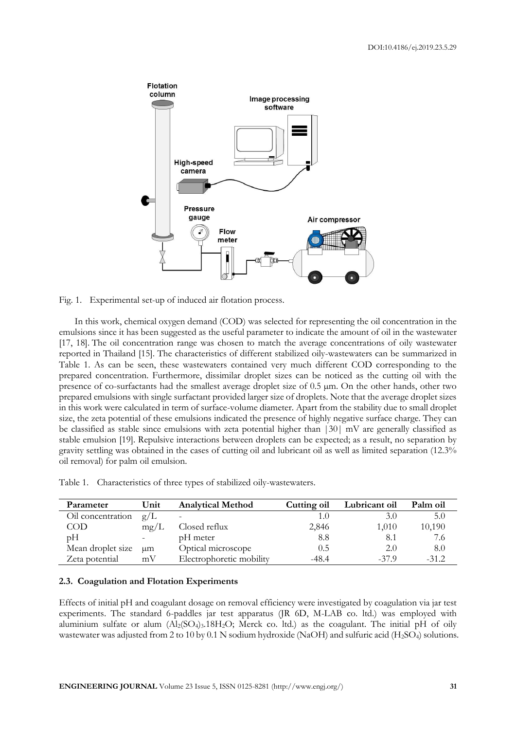

Fig. 1. Experimental set-up of induced air flotation process.

In this work, chemical oxygen demand (COD) was selected for representing the oil concentration in the emulsions since it has been suggested as the useful parameter to indicate the amount of oil in the wastewater [17, 18]. The oil concentration range was chosen to match the average concentrations of oily wastewater reported in Thailand [15]. The characteristics of different stabilized oily-wastewaters can be summarized in Table 1. As can be seen, these wastewaters contained very much different COD corresponding to the prepared concentration. Furthermore, dissimilar droplet sizes can be noticed as the cutting oil with the presence of co-surfactants had the smallest average droplet size of 0.5 µm. On the other hands, other two prepared emulsions with single surfactant provided larger size of droplets. Note that the average droplet sizes in this work were calculated in term of surface-volume diameter. Apart from the stability due to small droplet size, the zeta potential of these emulsions indicated the presence of highly negative surface charge. They can be classified as stable since emulsions with zeta potential higher than |30| mV are generally classified as stable emulsion [19]. Repulsive interactions between droplets can be expected; as a result, no separation by gravity settling was obtained in the cases of cutting oil and lubricant oil as well as limited separation (12.3% oil removal) for palm oil emulsion.

| Parameter         | Unit | <b>Analytical Method</b> | Cutting oil | Lubricant oil | Palm oil |
|-------------------|------|--------------------------|-------------|---------------|----------|
| Oil concentration | g/L  |                          |             | 3.0           | 5.0      |
| COD               | mg/L | Closed reflux            | 2,846       | 1,010         | 10,190   |
| pH                |      | pH meter                 | 8.8         | 8.1           | 7.6      |
| Mean droplet size | um   | Optical microscope       | 0.5         | 2.0           | 8.0      |
| Zeta potential    | mV   | Electrophoretic mobility | -48.4       | $-379$        | $-31.2$  |

Table 1. Characteristics of three types of stabilized oily-wastewaters.

### **2.3. Coagulation and Flotation Experiments**

Effects of initial pH and coagulant dosage on removal efficiency were investigated by coagulation via jar test experiments. The standard 6-paddles jar test apparatus (JR 6D, M-LAB co. ltd.) was employed with aluminium sulfate or alum  $(A_2(SO_4), 18H_2O)$ ; Merck co. ltd.) as the coagulant. The initial pH of oily wastewater was adjusted from 2 to 10 by 0.1 N sodium hydroxide (NaOH) and sulfuric acid (H<sub>2</sub>SO<sub>4</sub>) solutions.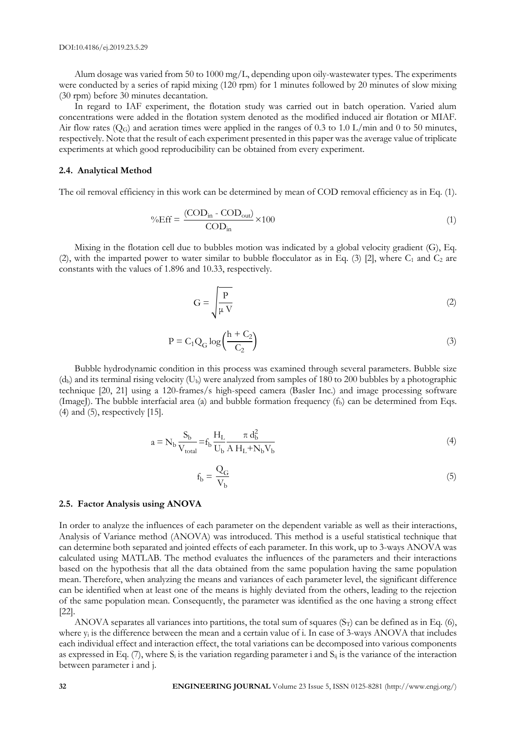Alum dosage was varied from 50 to 1000 mg/L, depending upon oily-wastewater types. The experiments were conducted by a series of rapid mixing (120 rpm) for 1 minutes followed by 20 minutes of slow mixing (30 rpm) before 30 minutes decantation.

In regard to IAF experiment, the flotation study was carried out in batch operation. Varied alum concentrations were added in the flotation system denoted as the modified induced air flotation or MIAF. Air flow rates  $(Q_G)$  and aeration times were applied in the ranges of 0.3 to 1.0 L/min and 0 to 50 minutes, respectively. Note that the result of each experiment presented in this paper was the average value of triplicate experiments at which good reproducibility can be obtained from every experiment.

## **2.4. Analytical Method**

The oil removal efficiency in this work can be determined by mean of COD removal efficiency as in Eq. (1).

$$
\%Eff = \frac{(\text{COD}_{\text{in}} - \text{COD}_{\text{out}})}{\text{COD}_{\text{in}}} \times 100 \tag{1}
$$

Mixing in the flotation cell due to bubbles motion was indicated by a global velocity gradient (G), Eq. (2), with the imparted power to water similar to bubble flocculator as in Eq. (3) [2], where  $C_1$  and  $C_2$  are constants with the values of 1.896 and 10.33, respectively.

$$
G = \sqrt{\frac{P}{\mu V}}
$$
 (2)

$$
P = C_1 Q_G \log \left( \frac{h + C_2}{C_2} \right) \tag{3}
$$

Bubble hydrodynamic condition in this process was examined through several parameters. Bubble size  $(d_b)$  and its terminal rising velocity (U<sub>b</sub>) were analyzed from samples of 180 to 200 bubbles by a photographic technique [20, 21] using a 120-frames/s high-speed camera (Basler Inc.) and image processing software (ImageJ). The bubble interfacial area (a) and bubble formation frequency (fb) can be determined from Eqs. (4) and (5), respectively [15].

$$
a = N_b \frac{S_b}{V_{\text{total}}} = f_b \frac{H_L}{U_b} \frac{\pi d_b^2}{A H_L + N_b V_b}
$$
(4)

$$
f_b = \frac{Q_G}{V_b} \tag{5}
$$

#### **2.5. Factor Analysis using ANOVA**

In order to analyze the influences of each parameter on the dependent variable as well as their interactions, Analysis of Variance method (ANOVA) was introduced. This method is a useful statistical technique that can determine both separated and jointed effects of each parameter. In this work, up to 3-ways ANOVA was calculated using MATLAB. The method evaluates the influences of the parameters and their interactions based on the hypothesis that all the data obtained from the same population having the same population mean. Therefore, when analyzing the means and variances of each parameter level, the significant difference can be identified when at least one of the means is highly deviated from the others, leading to the rejection of the same population mean. Consequently, the parameter was identified as the one having a strong effect [22].

ANOVA separates all variances into partitions, the total sum of squares  $(S_T)$  can be defined as in Eq. (6), where  $y_i$  is the difference between the mean and a certain value of i. In case of 3-ways ANOVA that includes each individual effect and interaction effect, the total variations can be decomposed into various components as expressed in Eq. (7), where  $S_i$  is the variation regarding parameter i and  $S_{ij}$  is the variance of the interaction between parameter i and j.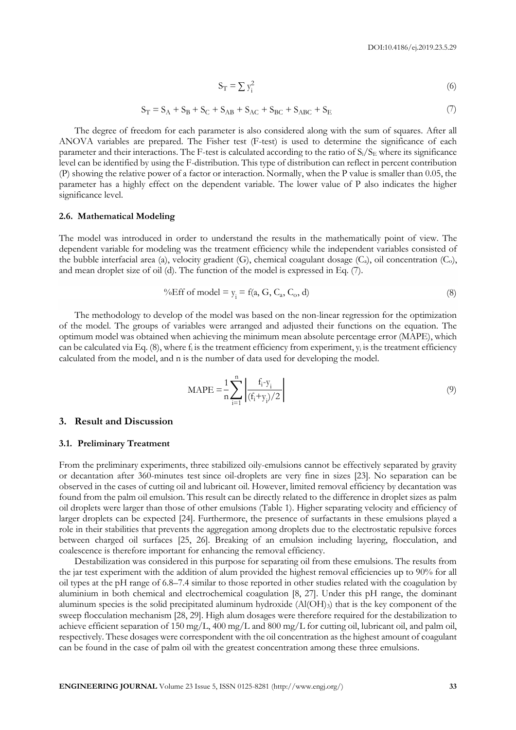$$
S_T = \sum y_i^2 \tag{6}
$$

$$
S_T = S_A + S_B + S_C + S_{AB} + S_{AC} + S_{BC} + S_{ABC} + S_E
$$
 (7)

The degree of freedom for each parameter is also considered along with the sum of squares. After all ANOVA variables are prepared. The Fisher test (F-test) is used to determine the significance of each parameter and their interactions. The F-test is calculated according to the ratio of  $S_i/S_E$  where its significance level can be identified by using the F-distribution. This type of distribution can reflect in percent contribution (P) showing the relative power of a factor or interaction. Normally, when the P value is smaller than 0.05, the parameter has a highly effect on the dependent variable. The lower value of P also indicates the higher significance level.

#### **2.6. Mathematical Modeling**

The model was introduced in order to understand the results in the mathematically point of view. The dependent variable for modeling was the treatment efficiency while the independent variables consisted of the bubble interfacial area (a), velocity gradient (G), chemical coagulant dosage  $(C_a)$ , oil concentration  $(C_o)$ , and mean droplet size of oil (d). The function of the model is expressed in Eq. (7).

$$
\%Eff of model = y_i = f(a, G, C_a, C_o, d) \tag{8}
$$

The methodology to develop of the model was based on the non-linear regression for the optimization of the model. The groups of variables were arranged and adjusted their functions on the equation. The optimum model was obtained when achieving the minimum mean absolute percentage error (MAPE), which can be calculated via Eq. (8), where  $f_i$  is the treatment efficiency from experiment,  $y_i$  is the treatment efficiency calculated from the model, and n is the number of data used for developing the model.

$$
MAPE = \frac{1}{n} \sum_{i=1}^{n} \left| \frac{f_i - y_i}{(f_i + y_i)/2} \right|
$$
 (9)

# **3. Result and Discussion**

## **3.1. Preliminary Treatment**

From the preliminary experiments, three stabilized oily-emulsions cannot be effectively separated by gravity or decantation after 360-minutes test since oil-droplets are very fine in sizes [23]. No separation can be observed in the cases of cutting oil and lubricant oil. However, limited removal efficiency by decantation was found from the palm oil emulsion. This result can be directly related to the difference in droplet sizes as palm oil droplets were larger than those of other emulsions (Table 1). Higher separating velocity and efficiency of larger droplets can be expected [24]. Furthermore, the presence of surfactants in these emulsions played a role in their stabilities that prevents the aggregation among droplets due to the electrostatic repulsive forces between charged oil surfaces [25, 26]. Breaking of an emulsion including layering, flocculation, and coalescence is therefore important for enhancing the removal efficiency.

Destabilization was considered in this purpose for separating oil from these emulsions. The results from the jar test experiment with the addition of alum provided the highest removal efficiencies up to 90% for all oil types at the pH range of 6.8–7.4 similar to those reported in other studies related with the coagulation by aluminium in both chemical and electrochemical coagulation [8, 27]. Under this pH range, the dominant aluminum species is the solid precipitated aluminum hydroxide  $(A(OH_3))$  that is the key component of the sweep flocculation mechanism [28, 29]. High alum dosages were therefore required for the destabilization to achieve efficient separation of 150 mg/L, 400 mg/L and 800 mg/L for cutting oil, lubricant oil, and palm oil, respectively. These dosages were correspondent with the oil concentration as the highest amount of coagulant can be found in the case of palm oil with the greatest concentration among these three emulsions.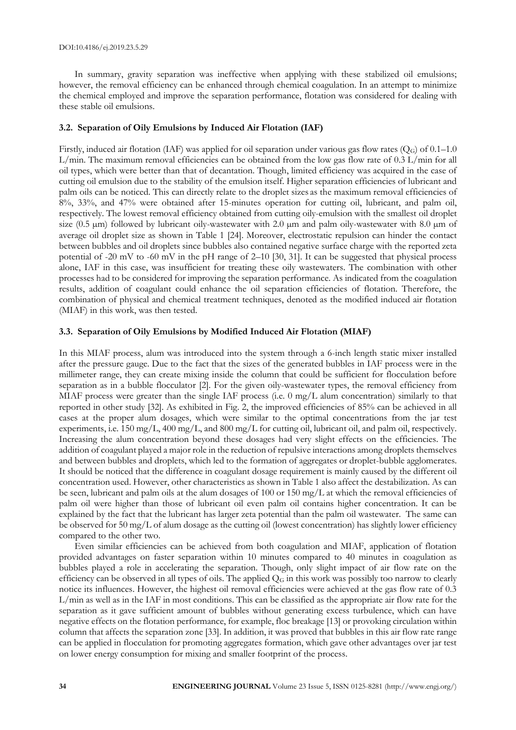In summary, gravity separation was ineffective when applying with these stabilized oil emulsions; however, the removal efficiency can be enhanced through chemical coagulation. In an attempt to minimize the chemical employed and improve the separation performance, flotation was considered for dealing with these stable oil emulsions.

## **3.2. Separation of Oily Emulsions by Induced Air Flotation (IAF)**

Firstly, induced air flotation (IAF) was applied for oil separation under various gas flow rates ( $Q_G$ ) of 0.1–1.0 L/min. The maximum removal efficiencies can be obtained from the low gas flow rate of 0.3 L/min for all oil types, which were better than that of decantation. Though, limited efficiency was acquired in the case of cutting oil emulsion due to the stability of the emulsion itself. Higher separation efficiencies of lubricant and palm oils can be noticed. This can directly relate to the droplet sizes as the maximum removal efficiencies of 8%, 33%, and 47% were obtained after 15-minutes operation for cutting oil, lubricant, and palm oil, respectively. The lowest removal efficiency obtained from cutting oily-emulsion with the smallest oil droplet size (0.5  $\mu$ m) followed by lubricant oily-wastewater with 2.0  $\mu$ m and palm oily-wastewater with 8.0  $\mu$ m of average oil droplet size as shown in Table 1 [24]. Moreover, electrostatic repulsion can hinder the contact between bubbles and oil droplets since bubbles also contained negative surface charge with the reported zeta potential of -20 mV to -60 mV in the pH range of 2–10 [30, 31]. It can be suggested that physical process alone, IAF in this case, was insufficient for treating these oily wastewaters. The combination with other processes had to be considered for improving the separation performance. As indicated from the coagulation results, addition of coagulant could enhance the oil separation efficiencies of flotation. Therefore, the combination of physical and chemical treatment techniques, denoted as the modified induced air flotation (MIAF) in this work, was then tested.

## **3.3. Separation of Oily Emulsions by Modified Induced Air Flotation (MIAF)**

In this MIAF process, alum was introduced into the system through a 6-inch length static mixer installed after the pressure gauge. Due to the fact that the sizes of the generated bubbles in IAF process were in the millimeter range, they can create mixing inside the column that could be sufficient for flocculation before separation as in a bubble flocculator [2]. For the given oily-wastewater types, the removal efficiency from MIAF process were greater than the single IAF process (i.e. 0 mg/L alum concentration) similarly to that reported in other study [32]. As exhibited in Fig. 2, the improved efficiencies of 85% can be achieved in all cases at the proper alum dosages, which were similar to the optimal concentrations from the jar test experiments, i.e. 150 mg/L, 400 mg/L, and 800 mg/L for cutting oil, lubricant oil, and palm oil, respectively. Increasing the alum concentration beyond these dosages had very slight effects on the efficiencies. The addition of coagulant played a major role in the reduction of repulsive interactions among droplets themselves and between bubbles and droplets, which led to the formation of aggregates or droplet-bubble agglomerates. It should be noticed that the difference in coagulant dosage requirement is mainly caused by the different oil concentration used. However, other characteristics as shown in Table 1 also affect the destabilization. As can be seen, lubricant and palm oils at the alum dosages of 100 or 150 mg/L at which the removal efficiencies of palm oil were higher than those of lubricant oil even palm oil contains higher concentration. It can be explained by the fact that the lubricant has larger zeta potential than the palm oil wastewater. The same can be observed for 50 mg/L of alum dosage as the cutting oil (lowest concentration) has slightly lower efficiency compared to the other two.

Even similar efficiencies can be achieved from both coagulation and MIAF, application of flotation provided advantages on faster separation within 10 minutes compared to 40 minutes in coagulation as bubbles played a role in accelerating the separation. Though, only slight impact of air flow rate on the efficiency can be observed in all types of oils. The applied  $Q<sub>G</sub>$  in this work was possibly too narrow to clearly notice its influences. However, the highest oil removal efficiencies were achieved at the gas flow rate of 0.3 L/min as well as in the IAF in most conditions. This can be classified as the appropriate air flow rate for the separation as it gave sufficient amount of bubbles without generating excess turbulence, which can have negative effects on the flotation performance, for example, floc breakage [13] or provoking circulation within column that affects the separation zone [33]. In addition, it was proved that bubbles in this air flow rate range can be applied in flocculation for promoting aggregates formation, which gave other advantages over jar test on lower energy consumption for mixing and smaller footprint of the process.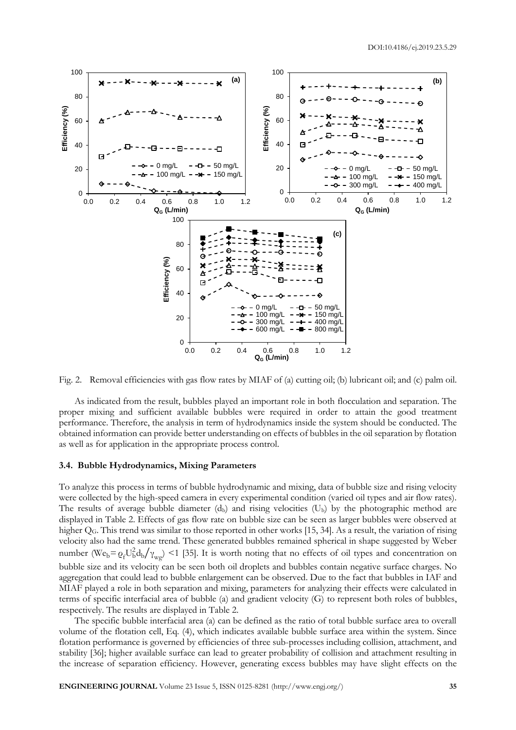

Fig. 2. Removal efficiencies with gas flow rates by MIAF of (a) cutting oil; (b) lubricant oil; and (c) palm oil.

As indicated from the result, bubbles played an important role in both flocculation and separation. The proper mixing and sufficient available bubbles were required in order to attain the good treatment performance. Therefore, the analysis in term of hydrodynamics inside the system should be conducted. The obtained information can provide better understanding on effects of bubbles in the oil separation by flotation as well as for application in the appropriate process control.

#### **3.4. Bubble Hydrodynamics, Mixing Parameters**

To analyze this process in terms of bubble hydrodynamic and mixing, data of bubble size and rising velocity were collected by the high-speed camera in every experimental condition (varied oil types and air flow rates). The results of average bubble diameter  $(d_b)$  and rising velocities  $(U_b)$  by the photographic method are displayed in Table 2. Effects of gas flow rate on bubble size can be seen as larger bubbles were observed at higher Q<sub>G</sub>. This trend was similar to those reported in other works [15, 34]. As a result, the variation of rising velocity also had the same trend. These generated bubbles remained spherical in shape suggested by Weber number (We<sub>b</sub>= $\rho_f U_b^2 d_b / \gamma_{wg}$ ) <1 [35]. It is worth noting that no effects of oil types and concentration on bubble size and its velocity can be seen both oil droplets and bubbles contain negative surface charges. No aggregation that could lead to bubble enlargement can be observed. Due to the fact that bubbles in IAF and MIAF played a role in both separation and mixing, parameters for analyzing their effects were calculated in terms of specific interfacial area of bubble (a) and gradient velocity (G) to represent both roles of bubbles, respectively. The results are displayed in Table 2.

The specific bubble interfacial area (a) can be defined as the ratio of total bubble surface area to overall volume of the flotation cell, Eq. (4), which indicates available bubble surface area within the system. Since flotation performance is governed by efficiencies of three sub-processes including collision, attachment, and stability [36]; higher available surface can lead to greater probability of collision and attachment resulting in the increase of separation efficiency. However, generating excess bubbles may have slight effects on the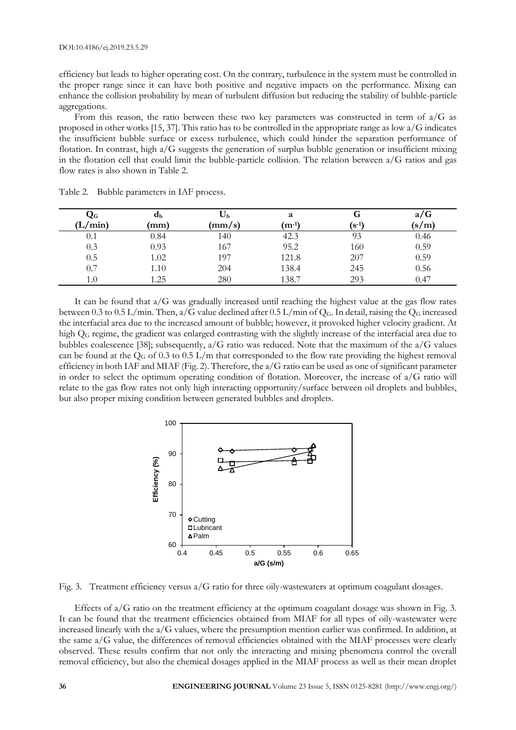efficiency but leads to higher operating cost. On the contrary, turbulence in the system must be controlled in the proper range since it can have both positive and negative impacts on the performance. Mixing can enhance the collision probability by mean of turbulent diffusion but reducing the stability of bubble-particle aggregations.

From this reason, the ratio between these two key parameters was constructed in term of  $a/G$  as proposed in other works [15, 37]. This ratio has to be controlled in the appropriate range as low a/G indicates the insufficient bubble surface or excess turbulence, which could hinder the separation performance of flotation. In contrast, high a/G suggests the generation of surplus bubble generation or insufficient mixing in the flotation cell that could limit the bubble-particle collision. The relation between a/G ratios and gas flow rates is also shown in Table 2.

| QG        | $\mathbf{u}_b$ | $U_{b}$         | a       | G       | a/G   |
|-----------|----------------|-----------------|---------|---------|-------|
| (L/min)   | (mm)           | $\text{(mm/s)}$ | $(m-1)$ | $(s-1)$ | (s/m) |
| $\rm 0.1$ | 0.84           | 140             | 42.3    | 93      | 0.46  |
| 0.3       | 0.93           | 167             | 95.2    | 160     | 0.59  |
| 0.5       | 1.02           | 197             | 121.8   | 207     | 0.59  |
| 0.7       | 1.10           | 204             | 138.4   | 245     | 0.56  |
| 1.0       | 1.25           | 280             | 138.7   | 293     | 0.47  |

Table 2. Bubble parameters in IAF process.

It can be found that a/G was gradually increased until reaching the highest value at the gas flow rates between 0.3 to 0.5 L/min. Then, a/G value declined after 0.5 L/min of Q<sub>G</sub>. In detail, raising the Q<sub>G</sub> increased the interfacial area due to the increased amount of bubble; however, it provoked higher velocity gradient. At high Q<sup>G</sup> regime, the gradient was enlarged contrasting with the slightly increase of the interfacial area due to bubbles coalescence [38]; subsequently,  $a/G$  ratio was reduced. Note that the maximum of the  $a/G$  values can be found at the  $Q_G$  of 0.3 to 0.5 L/m that corresponded to the flow rate providing the highest removal efficiency in both IAF and MIAF (Fig. 2). Therefore, the a/G ratio can be used as one of significant parameter in order to select the optimum operating condition of flotation. Moreover, the increase of a/G ratio will relate to the gas flow rates not only high interacting opportunity/surface between oil droplets and bubbles, but also proper mixing condition between generated bubbles and droplets.



Fig. 3. Treatment efficiency versus a/G ratio for three oily-wastewaters at optimum coagulant dosages.

Effects of a/G ratio on the treatment efficiency at the optimum coagulant dosage was shown in Fig. 3. It can be found that the treatment efficiencies obtained from MIAF for all types of oily-wastewater were increased linearly with the a/G values, where the presumption mention earlier was confirmed. In addition, at the same a/G value, the differences of removal efficiencies obtained with the MIAF processes were clearly observed. These results confirm that not only the interacting and mixing phenomena control the overall removal efficiency, but also the chemical dosages applied in the MIAF process as well as their mean droplet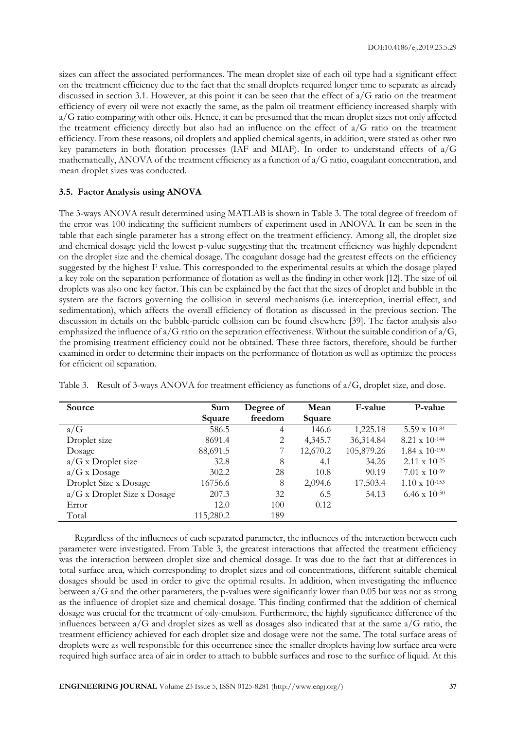sizes can affect the associated performances. The mean droplet size of each oil type had a significant effect on the treatment efficiency due to the fact that the small droplets required longer time to separate as already discussed in section 3.1. However, at this point it can be seen that the effect of a/G ratio on the treatment efficiency of every oil were not exactly the same, as the palm oil treatment efficiency increased sharply with a/G ratio comparing with other oils. Hence, it can be presumed that the mean droplet sizes not only affected the treatment efficiency directly but also had an influence on the effect of a/G ratio on the treatment efficiency. From these reasons, oil droplets and applied chemical agents, in addition, were stated as other two key parameters in both flotation processes (IAF and MIAF). In order to understand effects of a/G mathematically, ANOVA of the treatment efficiency as a function of a/G ratio, coagulant concentration, and mean droplet sizes was conducted.

#### **3.5. Factor Analysis using ANOVA**

The 3-ways ANOVA result determined using MATLAB is shown in Table 3. The total degree of freedom of the error was 100 indicating the sufficient numbers of experiment used in ANOVA. It can be seen in the table that each single parameter has a strong effect on the treatment efficiency. Among all, the droplet size and chemical dosage yield the lowest p-value suggesting that the treatment efficiency was highly dependent on the droplet size and the chemical dosage. The coagulant dosage had the greatest effects on the efficiency suggested by the highest F value. This corresponded to the experimental results at which the dosage played a key role on the separation performance of flotation as well as the finding in other work [12]. The size of oil droplets was also one key factor. This can be explained by the fact that the sizes of droplet and bubble in the system are the factors governing the collision in several mechanisms (i.e. interception, inertial effect, and sedimentation), which affects the overall efficiency of flotation as discussed in the previous section. The discussion in details on the bubble-particle collision can be found elsewhere [39]. The factor analysis also emphasized the influence of a/G ratio on the separation effectiveness. Without the suitable condition of a/G, the promising treatment efficiency could not be obtained. These three factors, therefore, should be further examined in order to determine their impacts on the performance of flotation as well as optimize the process for efficient oil separation.

| Source                        | Sum       | Degree of      | Mean     | <b>F-value</b> | P-value                 |
|-------------------------------|-----------|----------------|----------|----------------|-------------------------|
|                               | Square    | freedom        | Square   |                |                         |
| a/G                           | 586.5     | $\overline{4}$ | 146.6    | 1,225.18       | $5.59 \times 10^{-84}$  |
| Droplet size                  | 8691.4    | 2              | 4,345.7  | 36,314.84      | $8.21 \times 10^{-144}$ |
| Dosage                        | 88,691.5  |                | 12,670.2 | 105,879.26     | $1.84 \times 10^{-190}$ |
| $a/G$ x Droplet size          | 32.8      | 8              | 4.1      | 34.26          | $2.11 \times 10^{-25}$  |
| $a/G$ x Dosage                | 302.2     | 28             | 10.8     | 90.19          | $7.01 \times 10^{-59}$  |
| Droplet Size x Dosage         | 16756.6   | 8              | 2,094.6  | 17,503.4       | $1.10 \times 10^{-153}$ |
| $a/G$ x Droplet Size x Dosage | 207.3     | 32             | 6.5      | 54.13          | $6.46 \times 10^{-50}$  |
| Error                         | 12.0      | 100            | 0.12     |                |                         |
| Total                         | 115,280.2 | 189            |          |                |                         |

Table 3. Result of 3-ways ANOVA for treatment efficiency as functions of a/G, droplet size, and dose.

Regardless of the influences of each separated parameter, the influences of the interaction between each parameter were investigated. From Table 3, the greatest interactions that affected the treatment efficiency was the interaction between droplet size and chemical dosage. It was due to the fact that at differences in total surface area, which corresponding to droplet sizes and oil concentrations, different suitable chemical dosages should be used in order to give the optimal results. In addition, when investigating the influence between a/G and the other parameters, the p-values were significantly lower than 0.05 but was not as strong as the influence of droplet size and chemical dosage. This finding confirmed that the addition of chemical dosage was crucial for the treatment of oily-emulsion. Furthermore, the highly significance difference of the influences between a/G and droplet sizes as well as dosages also indicated that at the same a/G ratio, the treatment efficiency achieved for each droplet size and dosage were not the same. The total surface areas of droplets were as well responsible for this occurrence since the smaller droplets having low surface area were required high surface area of air in order to attach to bubble surfaces and rose to the surface of liquid. At this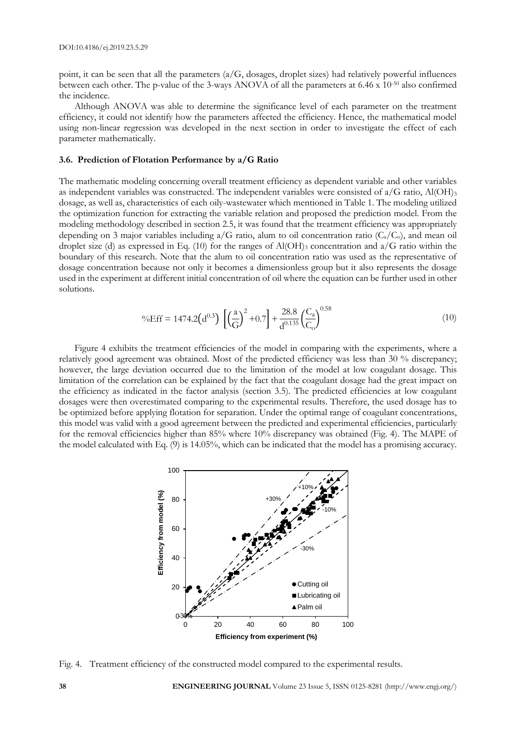point, it can be seen that all the parameters  $(a/G, d$  osages, droplet sizes) had relatively powerful influences between each other. The p-value of the 3-ways ANOVA of all the parameters at 6.46 x 10-50 also confirmed the incidence.

Although ANOVA was able to determine the significance level of each parameter on the treatment efficiency, it could not identify how the parameters affected the efficiency. Hence, the mathematical model using non-linear regression was developed in the next section in order to investigate the effect of each parameter mathematically.

#### **3.6. Prediction of Flotation Performance by a/G Ratio**

The mathematic modeling concerning overall treatment efficiency as dependent variable and other variables as independent variables was constructed. The independent variables were consisted of  $a/G$  ratio,  $Al(OH)_3$ dosage, as well as, characteristics of each oily-wastewater which mentioned in Table 1. The modeling utilized the optimization function for extracting the variable relation and proposed the prediction model. From the modeling methodology described in section 2.5, it was found that the treatment efficiency was appropriately depending on 3 major variables including a/G ratio, alum to oil concentration ratio  $(C_a/C_o)$ , and mean oil droplet size (d) as expressed in Eq. (10) for the ranges of  $Al(OH)$ <sub>3</sub> concentration and a/G ratio within the boundary of this research. Note that the alum to oil concentration ratio was used as the representative of dosage concentration because not only it becomes a dimensionless group but it also represents the dosage used in the experiment at different initial concentration of oil where the equation can be further used in other solutions.

$$
\% \text{Eff} = 1474.2 \left( \text{d}^{0.3} \right) \left[ \left( \frac{\text{a}}{\text{G}} \right)^2 + 0.7 \right] + \frac{28.8}{\text{d}^{0.135}} \left( \frac{\text{C}_{\text{a}}}{\text{C}_{\text{o}}} \right)^{0.58} \tag{10}
$$

Figure 4 exhibits the treatment efficiencies of the model in comparing with the experiments, where a relatively good agreement was obtained. Most of the predicted efficiency was less than 30 % discrepancy; however, the large deviation occurred due to the limitation of the model at low coagulant dosage. This limitation of the correlation can be explained by the fact that the coagulant dosage had the great impact on the efficiency as indicated in the factor analysis (section 3.5). The predicted efficiencies at low coagulant dosages were then overestimated comparing to the experimental results. Therefore, the used dosage has to be optimized before applying flotation for separation. Under the optimal range of coagulant concentrations, this model was valid with a good agreement between the predicted and experimental efficiencies, particularly for the removal efficiencies higher than 85% where 10% discrepancy was obtained (Fig. 4). The MAPE of the model calculated with Eq. (9) is 14.05%, which can be indicated that the model has a promising accuracy.



Fig. 4. Treatment efficiency of the constructed model compared to the experimental results.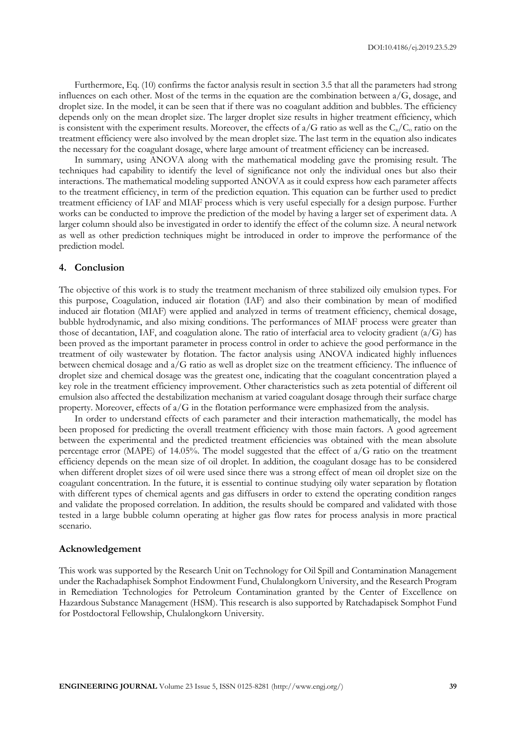Furthermore, Eq. (10) confirms the factor analysis result in section 3.5 that all the parameters had strong influences on each other. Most of the terms in the equation are the combination between  $a/G$ , dosage, and droplet size. In the model, it can be seen that if there was no coagulant addition and bubbles. The efficiency depends only on the mean droplet size. The larger droplet size results in higher treatment efficiency, which is consistent with the experiment results. Moreover, the effects of  $a/G$  ratio as well as the  $C_a/C_0$  ratio on the treatment efficiency were also involved by the mean droplet size. The last term in the equation also indicates the necessary for the coagulant dosage, where large amount of treatment efficiency can be increased.

In summary, using ANOVA along with the mathematical modeling gave the promising result. The techniques had capability to identify the level of significance not only the individual ones but also their interactions. The mathematical modeling supported ANOVA as it could express how each parameter affects to the treatment efficiency, in term of the prediction equation. This equation can be further used to predict treatment efficiency of IAF and MIAF process which is very useful especially for a design purpose. Further works can be conducted to improve the prediction of the model by having a larger set of experiment data. A larger column should also be investigated in order to identify the effect of the column size. A neural network as well as other prediction techniques might be introduced in order to improve the performance of the prediction model.

### **4. Conclusion**

The objective of this work is to study the treatment mechanism of three stabilized oily emulsion types. For this purpose, Coagulation, induced air flotation (IAF) and also their combination by mean of modified induced air flotation (MIAF) were applied and analyzed in terms of treatment efficiency, chemical dosage, bubble hydrodynamic, and also mixing conditions. The performances of MIAF process were greater than those of decantation, IAF, and coagulation alone. The ratio of interfacial area to velocity gradient  $(a/G)$  has been proved as the important parameter in process control in order to achieve the good performance in the treatment of oily wastewater by flotation. The factor analysis using ANOVA indicated highly influences between chemical dosage and a/G ratio as well as droplet size on the treatment efficiency. The influence of droplet size and chemical dosage was the greatest one, indicating that the coagulant concentration played a key role in the treatment efficiency improvement. Other characteristics such as zeta potential of different oil emulsion also affected the destabilization mechanism at varied coagulant dosage through their surface charge property. Moreover, effects of  $a/G$  in the flotation performance were emphasized from the analysis.

In order to understand effects of each parameter and their interaction mathematically, the model has been proposed for predicting the overall treatment efficiency with those main factors. A good agreement between the experimental and the predicted treatment efficiencies was obtained with the mean absolute percentage error (MAPE) of 14.05%. The model suggested that the effect of  $a/G$  ratio on the treatment efficiency depends on the mean size of oil droplet. In addition, the coagulant dosage has to be considered when different droplet sizes of oil were used since there was a strong effect of mean oil droplet size on the coagulant concentration. In the future, it is essential to continue studying oily water separation by flotation with different types of chemical agents and gas diffusers in order to extend the operating condition ranges and validate the proposed correlation. In addition, the results should be compared and validated with those tested in a large bubble column operating at higher gas flow rates for process analysis in more practical scenario.

### **Acknowledgement**

This work was supported by the Research Unit on Technology for Oil Spill and Contamination Management under the Rachadaphisek Somphot Endowment Fund, Chulalongkorn University, and the Research Program in Remediation Technologies for Petroleum Contamination granted by the Center of Excellence on Hazardous Substance Management (HSM). This research is also supported by Ratchadapisek Somphot Fund for Postdoctoral Fellowship, Chulalongkorn University.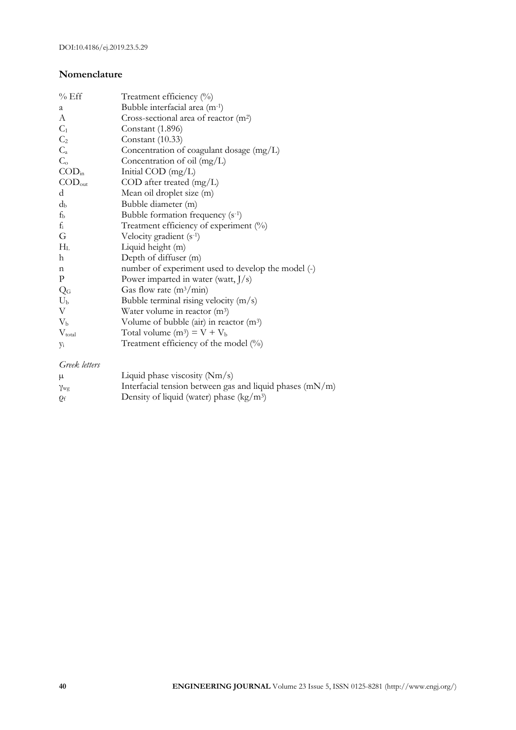# **Nomenclature**

| $%$ Eff                      | Treatment efficiency $(\%)$                        |
|------------------------------|----------------------------------------------------|
| a                            | Bubble interfacial area (m <sup>-1</sup> )         |
| A                            | Cross-sectional area of reactor $(m2)$             |
| $C_1$                        | Constant (1.896)                                   |
| C <sub>2</sub>               | Constant (10.33)                                   |
| $C_{a}$                      | Concentration of coagulant dosage $(mg/L)$         |
| $C_{\rm o}$                  | Concentration of oil $(mg/L)$                      |
| $\mathrm{COD}_{\mathrm{in}}$ | Initial COD (mg/L)                                 |
| $\mathrm{COD}_\mathrm{out}$  | $\text{COD}$ after treated (mg/L)                  |
| $\mathbf d$                  | Mean oil droplet size (m)                          |
| $d_{\rm b}$                  | Bubble diameter (m)                                |
| $f_{\rm b}$                  | Bubble formation frequency (s-1)                   |
| $f_i$                        | Treatment efficiency of experiment (%)             |
| G                            | Velocity gradient $(s-1)$                          |
| $H_{L}$                      | Liquid height (m)                                  |
| h                            | Depth of diffuser (m)                              |
| n                            | number of experiment used to develop the model (-) |
| P                            | Power imparted in water (watt, $J/s$ )             |
| Q <sub>G</sub>               | Gas flow rate $(m^3/min)$                          |
| $U_{\rm b}$                  | Bubble terminal rising velocity $(m/s)$            |
| V                            | Water volume in reactor $(m^3)$                    |
| $V_{\rm b}$                  | Volume of bubble (air) in reactor $(m^3)$          |
| $V_{total}$                  | Total volume $(m^3) = V + V_b$                     |
| V <sub>i</sub>               | Treatment efficiency of the model $(\%)$           |
| Greek letters                |                                                    |

| μ                 | Liquid phase viscosity $(Nm/s)$                            |
|-------------------|------------------------------------------------------------|
| $\gamma_{\rm wg}$ | Interfacial tension between gas and liquid phases $(mN/m)$ |
| Qf                | Density of liquid (water) phase $(kg/m3)$                  |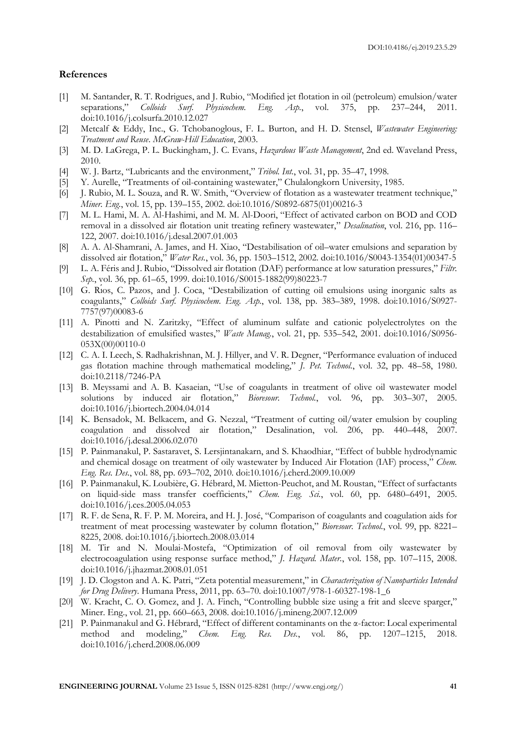#### **References**

- [1] M. Santander, R. T. Rodrigues, and J. Rubio, "Modified jet flotation in oil (petroleum) emulsion/water separations," *Colloids Surf. Physicochem. Eng. Asp.*, vol. 375, pp. 237–244, 2011. doi:10.1016/j.colsurfa.2010.12.027
- [2] Metcalf & Eddy, Inc., G. Tchobanoglous, F. L. Burton, and H. D. Stensel, *Wastewater Engineering: Treatment and Reuse*. *McGraw-Hill Education*, 2003.
- [3] M. D. LaGrega, P. L. Buckingham, J. C. Evans, *Hazardous Waste Management*, 2nd ed. Waveland Press, 2010.
- [4] W. J. Bartz, "Lubricants and the environment," *Tribol. Int.*, vol. 31, pp. 35–47, 1998.
- [5] Y. Aurelle, "Treatments of oil-containing wastewater," Chulalongkorn University, 1985.
- [6] J. Rubio, M. L. Souza, and R. W. Smith, "Overview of flotation as a wastewater treatment technique," *Miner. Eng.*, vol. 15, pp. 139–155, 2002. doi:10.1016/S0892-6875(01)00216-3
- [7] M. L. Hami, M. A. Al-Hashimi, and M. M. Al-Doori, "Effect of activated carbon on BOD and COD removal in a dissolved air flotation unit treating refinery wastewater," *Desalination*, vol. 216, pp. 116– 122, 2007. doi:10.1016/j.desal.2007.01.003
- [8] A. A. Al-Shamrani, A. James, and H. Xiao, "Destabilisation of oil–water emulsions and separation by dissolved air flotation," *Water Res.*, vol. 36, pp. 1503–1512, 2002. doi:10.1016/S0043-1354(01)00347-5
- [9] L. A. Féris and J. Rubio, "Dissolved air flotation (DAF) performance at low saturation pressures," *Filtr. Sep.*, vol. 36, pp. 61–65, 1999. doi:10.1016/S0015-1882(99)80223-7
- [10] G. Rios, C. Pazos, and J. Coca, "Destabilization of cutting oil emulsions using inorganic salts as coagulants," *Colloids Surf. Physicochem. Eng. Asp.*, vol. 138, pp. 383–389, 1998. doi:10.1016/S0927- 7757(97)00083-6
- [11] A. Pinotti and N. Zaritzky, "Effect of aluminum sulfate and cationic polyelectrolytes on the destabilization of emulsified wastes," *Waste Manag.*, vol. 21, pp. 535–542, 2001. doi:10.1016/S0956- 053X(00)00110-0
- [12] C. A. I. Leech, S. Radhakrishnan, M. J. Hillyer, and V. R. Degner, "Performance evaluation of induced gas flotation machine through mathematical modeling," *J. Pet. Technol.*, vol. 32, pp. 48–58, 1980. doi:10.2118/7246-PA
- [13] B. Meyssami and A. B. Kasaeian, "Use of coagulants in treatment of olive oil wastewater model solutions by induced air flotation," *Bioresour. Technol.*, vol. 96, pp. 303–307, 2005. doi:10.1016/j.biortech.2004.04.014
- [14] K. Bensadok, M. Belkacem, and G. Nezzal, "Treatment of cutting oil/water emulsion by coupling coagulation and dissolved air flotation," Desalination, vol. 206, pp. 440–448, 2007. doi:10.1016/j.desal.2006.02.070
- [15] P. Painmanakul, P. Sastaravet, S. Lersjintanakarn, and S. Khaodhiar, "Effect of bubble hydrodynamic and chemical dosage on treatment of oily wastewater by Induced Air Flotation (IAF) process," *Chem. Eng. Res. Des.*, vol. 88, pp. 693–702, 2010. doi:10.1016/j.cherd.2009.10.009
- [16] P. Painmanakul, K. Loubière, G. Hébrard, M. Mietton-Peuchot, and M. Roustan, "Effect of surfactants on liquid-side mass transfer coefficients," *Chem. Eng. Sci.*, vol. 60, pp. 6480–6491, 2005. doi:10.1016/j.ces.2005.04.053
- [17] R. F. de Sena, R. F. P. M. Moreira, and H. J. José, "Comparison of coagulants and coagulation aids for treatment of meat processing wastewater by column flotation," *Bioresour. Technol.*, vol. 99, pp. 8221– 8225, 2008. doi:10.1016/j.biortech.2008.03.014
- [18] M. Tir and N. Moulai-Mostefa, "Optimization of oil removal from oily wastewater by electrocoagulation using response surface method," *J. Hazard. Mater.*, vol. 158, pp. 107–115, 2008. doi:10.1016/j.jhazmat.2008.01.051
- [19] J. D. Clogston and A. K. Patri, "Zeta potential measurement," in *Characterization of Nanoparticles Intended for Drug Delivery*. Humana Press, 2011, pp. 63–70. doi:10.1007/978-1-60327-198-1\_6
- [20] W. Kracht, C. O. Gomez, and J. A. Finch, "Controlling bubble size using a frit and sleeve sparger," Miner. Eng., vol. 21, pp. 660–663, 2008. doi:10.1016/j.mineng.2007.12.009
- [21] P. Painmanakul and G. Hébrard, "Effect of different contaminants on the α-factor: Local experimental method and modeling," *Chem. Eng. Res. Des.*, vol. 86, pp. 1207–1215, 2018. doi:10.1016/j.cherd.2008.06.009